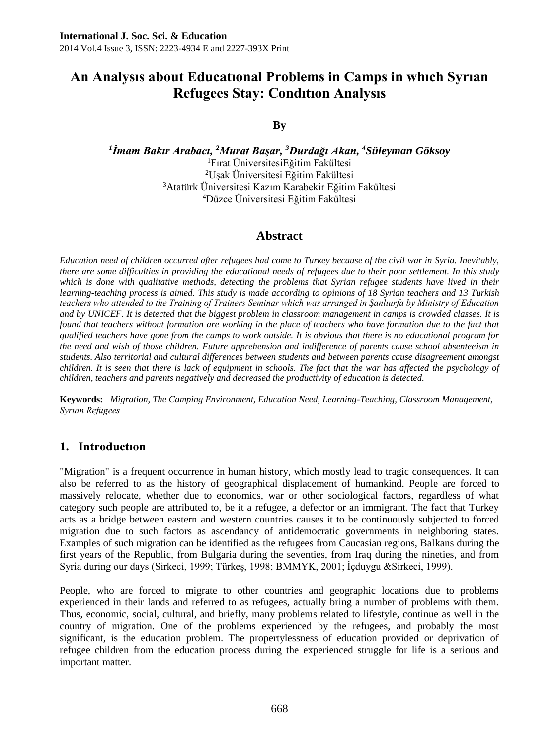# **An Analysıs about Educatıonal Problems in Camps in whıch Syrıan Refugees Stay: Condıtıon Analysıs**

# **By**

 *İmam Bakır Arabacı, <sup>2</sup>Murat Başar, <sup>3</sup>Durdağı Akan, <sup>4</sup>Süleyman Göksoy* Fırat ÜniversitesiEğitim Fakültesi Uşak Üniversitesi Eğitim Fakültesi Atatürk Üniversitesi Kazım Karabekir Eğitim Fakültesi Düzce Üniversitesi Eğitim Fakültesi

### **Abstract**

*Education need of children occurred after refugees had come to Turkey because of the civil war in Syria. Inevitably, there are some difficulties in providing the educational needs of refugees due to their poor settlement. In this study which is done with qualitative methods, detecting the problems that Syrian refugee students have lived in their learning-teaching process is aimed. This study is made according to opinions of 18 Syrian teachers and 13 Turkish teachers who attended to the Training of Trainers Seminar which was arranged in Şanlıurfa by Ministry of Education and by UNICEF. It is detected that the biggest problem in classroom management in camps is crowded classes. It is found that teachers without formation are working in the place of teachers who have formation due to the fact that qualified teachers have gone from the camps to work outside. It is obvious that there is no educational program for the need and wish of those children. Future apprehension and indifference of parents cause school absenteeism in students. Also territorial and cultural differences between students and between parents cause disagreement amongst children. It is seen that there is lack of equipment in schools. The fact that the war has affected the psychology of children, teachers and parents negatively and decreased the productivity of education is detected.*

**Keywords:** *Migration, The Camping Environment, Education Need, Learning-Teaching, Classroom Management, Syrıan Refugees*

# **1. Introductıon**

"Migration" is a frequent occurrence in human history, which mostly lead to tragic consequences. It can also be referred to as the history of geographical displacement of humankind. People are forced to massively relocate, whether due to economics, war or other sociological factors, regardless of what category such people are attributed to, be it a refugee, a defector or an immigrant. The fact that Turkey acts as a bridge between eastern and western countries causes it to be continuously subjected to forced migration due to such factors as ascendancy of antidemocratic governments in neighboring states. Examples of such migration can be identified as the refugees from Caucasian regions, Balkans during the first years of the Republic, from Bulgaria during the seventies, from Iraq during the nineties, and from Syria during our days (Sirkeci, 1999; Türkeş, 1998; BMMYK, 2001; İçduygu &Sirkeci, 1999).

People, who are forced to migrate to other countries and geographic locations due to problems experienced in their lands and referred to as refugees, actually bring a number of problems with them. Thus, economic, social, cultural, and briefly, many problems related to lifestyle, continue as well in the country of migration. One of the problems experienced by the refugees, and probably the most significant, is the education problem. The propertylessness of education provided or deprivation of refugee children from the education process during the experienced struggle for life is a serious and important matter.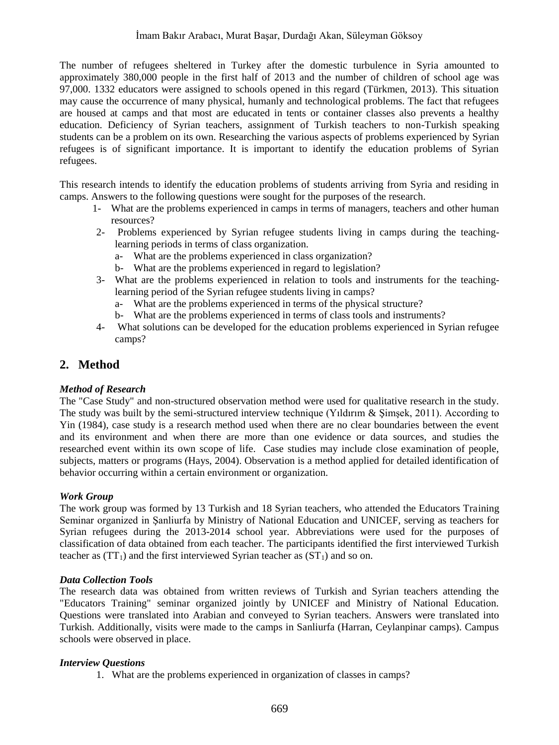The number of refugees sheltered in Turkey after the domestic turbulence in Syria amounted to approximately 380,000 people in the first half of 2013 and the number of children of school age was 97,000. 1332 educators were assigned to schools opened in this regard (Türkmen, 2013). This situation may cause the occurrence of many physical, humanly and technological problems. The fact that refugees are housed at camps and that most are educated in tents or container classes also prevents a healthy education. Deficiency of Syrian teachers, assignment of Turkish teachers to non-Turkish speaking students can be a problem on its own. Researching the various aspects of problems experienced by Syrian refugees is of significant importance. It is important to identify the education problems of Syrian refugees.

This research intends to identify the education problems of students arriving from Syria and residing in camps. Answers to the following questions were sought for the purposes of the research.

- 1- What are the problems experienced in camps in terms of managers, teachers and other human resources?
- 2- Problems experienced by Syrian refugee students living in camps during the teachinglearning periods in terms of class organization.
	- a- What are the problems experienced in class organization?
	- b- What are the problems experienced in regard to legislation?
- 3- What are the problems experienced in relation to tools and instruments for the teachinglearning period of the Syrian refugee students living in camps?
	- a- What are the problems experienced in terms of the physical structure?
	- b- What are the problems experienced in terms of class tools and instruments?
- 4- What solutions can be developed for the education problems experienced in Syrian refugee camps?

# **2. Method**

#### *Method of Research*

The "Case Study" and non-structured observation method were used for qualitative research in the study. The study was built by the semi-structured interview technique (Yıldırım & Şimşek, 2011). According to Yin (1984), case study is a research method used when there are no clear boundaries between the event and its environment and when there are more than one evidence or data sources, and studies the researched event within its own scope of life. Case studies may include close examination of people, subjects, matters or programs (Hays, 2004). Observation is a method applied for detailed identification of behavior occurring within a certain environment or organization.

#### *Work Group*

The work group was formed by 13 Turkish and 18 Syrian teachers, who attended the Educators Training Seminar organized in Şanliurfa by Ministry of National Education and UNICEF, serving as teachers for Syrian refugees during the 2013-2014 school year. Abbreviations were used for the purposes of classification of data obtained from each teacher. The participants identified the first interviewed Turkish teacher as  $(TT_1)$  and the first interviewed Syrian teacher as  $(ST_1)$  and so on.

#### *Data Collection Tools*

The research data was obtained from written reviews of Turkish and Syrian teachers attending the "Educators Training" seminar organized jointly by UNICEF and Ministry of National Education. Questions were translated into Arabian and conveyed to Syrian teachers. Answers were translated into Turkish. Additionally, visits were made to the camps in Sanliurfa (Harran, Ceylanpinar camps). Campus schools were observed in place.

#### *Interview Questions*

1. What are the problems experienced in organization of classes in camps?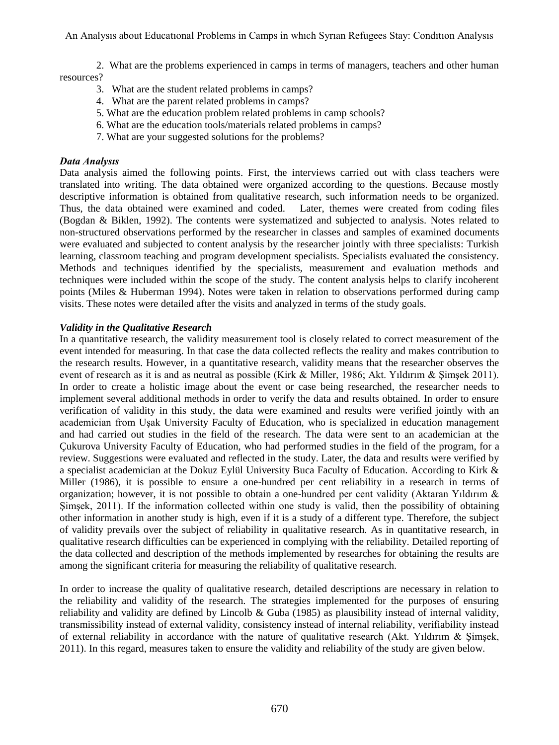An Analysıs about Educatıonal Problems in Camps in whıch Syrıan Refugees Stay: Condıtıon Analysıs

2. What are the problems experienced in camps in terms of managers, teachers and other human resources?

- 3. What are the student related problems in camps?
- 4. What are the parent related problems in camps?
- 5. What are the education problem related problems in camp schools?
- 6. What are the education tools/materials related problems in camps?
- 7. What are your suggested solutions for the problems?

#### *Data Analysıs*

Data analysis aimed the following points. First, the interviews carried out with class teachers were translated into writing. The data obtained were organized according to the questions. Because mostly descriptive information is obtained from qualitative research, such information needs to be organized. Thus, the data obtained were examined and coded. Later, themes were created from coding files (Bogdan & Biklen, 1992). The contents were systematized and subjected to analysis. Notes related to non-structured observations performed by the researcher in classes and samples of examined documents were evaluated and subjected to content analysis by the researcher jointly with three specialists: Turkish learning, classroom teaching and program development specialists. Specialists evaluated the consistency. Methods and techniques identified by the specialists, measurement and evaluation methods and techniques were included within the scope of the study. The content analysis helps to clarify incoherent points (Miles & Huberman 1994). Notes were taken in relation to observations performed during camp visits. These notes were detailed after the visits and analyzed in terms of the study goals.

#### *Validity in the Qualitative Research*

In a quantitative research, the validity measurement tool is closely related to correct measurement of the event intended for measuring. In that case the data collected reflects the reality and makes contribution to the research results. However, in a quantitative research, validity means that the researcher observes the event of research as it is and as neutral as possible (Kirk & Miller, 1986; Akt. Yıldırım & Simsek 2011). In order to create a holistic image about the event or case being researched, the researcher needs to implement several additional methods in order to verify the data and results obtained. In order to ensure verification of validity in this study, the data were examined and results were verified jointly with an academician from Uşak University Faculty of Education, who is specialized in education management and had carried out studies in the field of the research. The data were sent to an academician at the Çukurova University Faculty of Education, who had performed studies in the field of the program, for a review. Suggestions were evaluated and reflected in the study. Later, the data and results were verified by a specialist academician at the Dokuz Eylül University Buca Faculty of Education. According to Kirk & Miller (1986), it is possible to ensure a one-hundred per cent reliability in a research in terms of organization; however, it is not possible to obtain a one-hundred per cent validity (Aktaran Yıldırım  $\&$ Şimşek, 2011). If the information collected within one study is valid, then the possibility of obtaining other information in another study is high, even if it is a study of a different type. Therefore, the subject of validity prevails over the subject of reliability in qualitative research. As in quantitative research, in qualitative research difficulties can be experienced in complying with the reliability. Detailed reporting of the data collected and description of the methods implemented by researches for obtaining the results are among the significant criteria for measuring the reliability of qualitative research.

In order to increase the quality of qualitative research, detailed descriptions are necessary in relation to the reliability and validity of the research. The strategies implemented for the purposes of ensuring reliability and validity are defined by Lincolb  $\&$  Guba (1985) as plausibility instead of internal validity, transmissibility instead of external validity, consistency instead of internal reliability, verifiability instead of external reliability in accordance with the nature of qualitative research (Akt. Yıldırım & Şimşek, 2011). In this regard, measures taken to ensure the validity and reliability of the study are given below.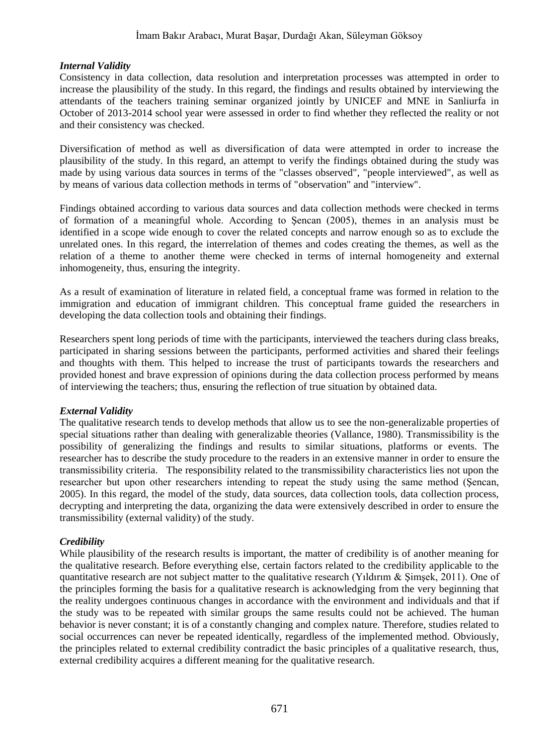#### *Internal Validity*

Consistency in data collection, data resolution and interpretation processes was attempted in order to increase the plausibility of the study. In this regard, the findings and results obtained by interviewing the attendants of the teachers training seminar organized jointly by UNICEF and MNE in Sanliurfa in October of 2013-2014 school year were assessed in order to find whether they reflected the reality or not and their consistency was checked.

Diversification of method as well as diversification of data were attempted in order to increase the plausibility of the study. In this regard, an attempt to verify the findings obtained during the study was made by using various data sources in terms of the "classes observed", "people interviewed", as well as by means of various data collection methods in terms of "observation" and "interview".

Findings obtained according to various data sources and data collection methods were checked in terms of formation of a meaningful whole. According to Şencan (2005), themes in an analysis must be identified in a scope wide enough to cover the related concepts and narrow enough so as to exclude the unrelated ones. In this regard, the interrelation of themes and codes creating the themes, as well as the relation of a theme to another theme were checked in terms of internal homogeneity and external inhomogeneity, thus, ensuring the integrity.

As a result of examination of literature in related field, a conceptual frame was formed in relation to the immigration and education of immigrant children. This conceptual frame guided the researchers in developing the data collection tools and obtaining their findings.

Researchers spent long periods of time with the participants, interviewed the teachers during class breaks, participated in sharing sessions between the participants, performed activities and shared their feelings and thoughts with them. This helped to increase the trust of participants towards the researchers and provided honest and brave expression of opinions during the data collection process performed by means of interviewing the teachers; thus, ensuring the reflection of true situation by obtained data.

#### *External Validity*

The qualitative research tends to develop methods that allow us to see the non-generalizable properties of special situations rather than dealing with generalizable theories (Vallance, 1980). Transmissibility is the possibility of generalizing the findings and results to similar situations, platforms or events. The researcher has to describe the study procedure to the readers in an extensive manner in order to ensure the transmissibility criteria. The responsibility related to the transmissibility characteristics lies not upon the researcher but upon other researchers intending to repeat the study using the same method (Şencan, 2005). In this regard, the model of the study, data sources, data collection tools, data collection process, decrypting and interpreting the data, organizing the data were extensively described in order to ensure the transmissibility (external validity) of the study.

#### *Credibility*

While plausibility of the research results is important, the matter of credibility is of another meaning for the qualitative research. Before everything else, certain factors related to the credibility applicable to the quantitative research are not subject matter to the qualitative research (Yıldırım  $\&$  Şimşek, 2011). One of the principles forming the basis for a qualitative research is acknowledging from the very beginning that the reality undergoes continuous changes in accordance with the environment and individuals and that if the study was to be repeated with similar groups the same results could not be achieved. The human behavior is never constant; it is of a constantly changing and complex nature. Therefore, studies related to social occurrences can never be repeated identically, regardless of the implemented method. Obviously, the principles related to external credibility contradict the basic principles of a qualitative research, thus, external credibility acquires a different meaning for the qualitative research.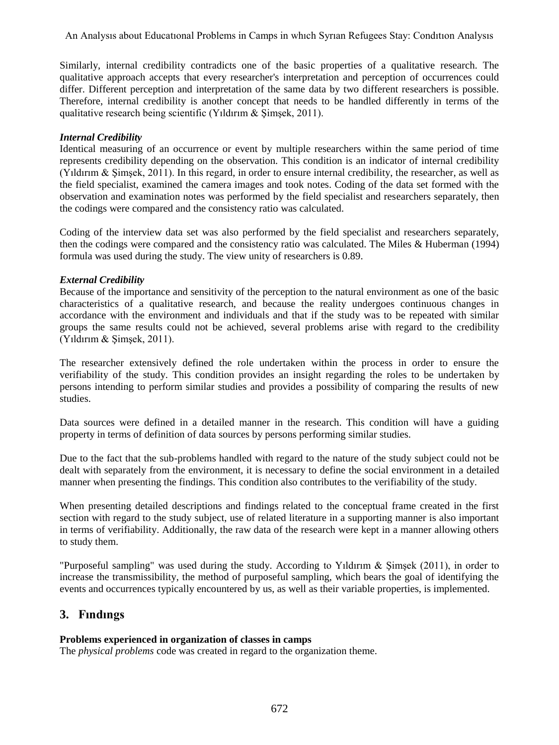Similarly, internal credibility contradicts one of the basic properties of a qualitative research. The qualitative approach accepts that every researcher's interpretation and perception of occurrences could differ. Different perception and interpretation of the same data by two different researchers is possible. Therefore, internal credibility is another concept that needs to be handled differently in terms of the qualitative research being scientific (Yıldırım & Şimşek, 2011).

#### *Internal Credibility*

Identical measuring of an occurrence or event by multiple researchers within the same period of time represents credibility depending on the observation. This condition is an indicator of internal credibility (Yıldırım & Şimşek, 2011). In this regard, in order to ensure internal credibility, the researcher, as well as the field specialist, examined the camera images and took notes. Coding of the data set formed with the observation and examination notes was performed by the field specialist and researchers separately, then the codings were compared and the consistency ratio was calculated.

Coding of the interview data set was also performed by the field specialist and researchers separately, then the codings were compared and the consistency ratio was calculated. The Miles & Huberman (1994) formula was used during the study. The view unity of researchers is 0.89.

#### *External Credibility*

Because of the importance and sensitivity of the perception to the natural environment as one of the basic characteristics of a qualitative research, and because the reality undergoes continuous changes in accordance with the environment and individuals and that if the study was to be repeated with similar groups the same results could not be achieved, several problems arise with regard to the credibility (Yıldırım & Şimşek, 2011).

The researcher extensively defined the role undertaken within the process in order to ensure the verifiability of the study. This condition provides an insight regarding the roles to be undertaken by persons intending to perform similar studies and provides a possibility of comparing the results of new studies.

Data sources were defined in a detailed manner in the research. This condition will have a guiding property in terms of definition of data sources by persons performing similar studies.

Due to the fact that the sub-problems handled with regard to the nature of the study subject could not be dealt with separately from the environment, it is necessary to define the social environment in a detailed manner when presenting the findings. This condition also contributes to the verifiability of the study.

When presenting detailed descriptions and findings related to the conceptual frame created in the first section with regard to the study subject, use of related literature in a supporting manner is also important in terms of verifiability. Additionally, the raw data of the research were kept in a manner allowing others to study them.

"Purposeful sampling" was used during the study. According to Yıldırım & Şimşek (2011), in order to increase the transmissibility, the method of purposeful sampling, which bears the goal of identifying the events and occurrences typically encountered by us, as well as their variable properties, is implemented.

# **3. Fındıngs**

# **Problems experienced in organization of classes in camps**

The *physical problems* code was created in regard to the organization theme.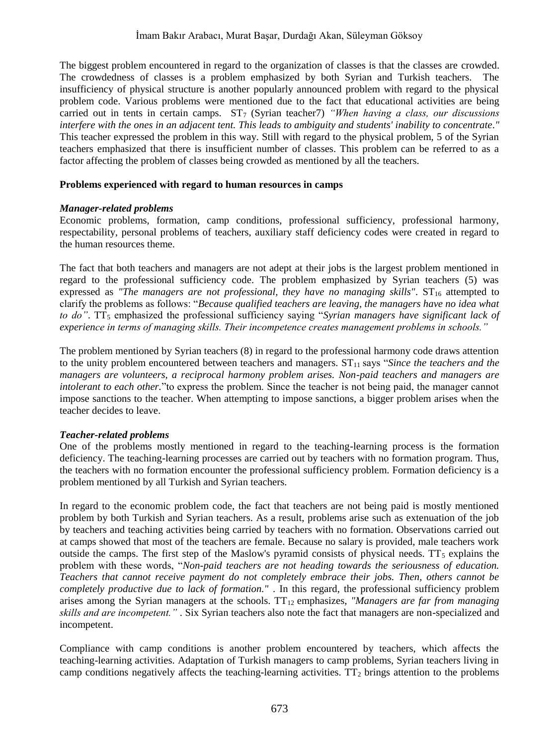The biggest problem encountered in regard to the organization of classes is that the classes are crowded. The crowdedness of classes is a problem emphasized by both Syrian and Turkish teachers. The insufficiency of physical structure is another popularly announced problem with regard to the physical problem code. Various problems were mentioned due to the fact that educational activities are being carried out in tents in certain camps.  $ST_7$  (Syrian teacher) *"When having a class, our discussions interfere with the ones in an adjacent tent. This leads to ambiguity and students' inability to concentrate."*  This teacher expressed the problem in this way. Still with regard to the physical problem, 5 of the Syrian teachers emphasized that there is insufficient number of classes. This problem can be referred to as a factor affecting the problem of classes being crowded as mentioned by all the teachers.

#### **Problems experienced with regard to human resources in camps**

#### *Manager-related problems*

Economic problems, formation, camp conditions, professional sufficiency, professional harmony, respectability, personal problems of teachers, auxiliary staff deficiency codes were created in regard to the human resources theme.

The fact that both teachers and managers are not adept at their jobs is the largest problem mentioned in regard to the professional sufficiency code. The problem emphasized by Syrian teachers (5) was expressed as *"The managers are not professional, they have no managing skills"*.  $ST_{16}$  attempted to clarify the problems as follows: "*Because qualified teachers are leaving, the managers have no idea what*  to do". TT<sub>5</sub> emphasized the professional sufficiency saying "*Syrian managers have significant lack of experience in terms of managing skills. Their incompetence creates management problems in schools."*

The problem mentioned by Syrian teachers (8) in regard to the professional harmony code draws attention to the unity problem encountered between teachers and managers.  $ST<sub>11</sub>$  says "*Since the teachers and the managers are volunteers, a reciprocal harmony problem arises. Non-paid teachers and managers are intolerant to each other.*"to express the problem. Since the teacher is not being paid, the manager cannot impose sanctions to the teacher. When attempting to impose sanctions, a bigger problem arises when the teacher decides to leave.

#### *Teacher-related problems*

One of the problems mostly mentioned in regard to the teaching-learning process is the formation deficiency. The teaching-learning processes are carried out by teachers with no formation program. Thus, the teachers with no formation encounter the professional sufficiency problem. Formation deficiency is a problem mentioned by all Turkish and Syrian teachers.

In regard to the economic problem code, the fact that teachers are not being paid is mostly mentioned problem by both Turkish and Syrian teachers. As a result, problems arise such as extenuation of the job by teachers and teaching activities being carried by teachers with no formation. Observations carried out at camps showed that most of the teachers are female. Because no salary is provided, male teachers work outside the camps. The first step of the Maslow's pyramid consists of physical needs.  $TT<sub>5</sub>$  explains the problem with these words, "*Non-paid teachers are not heading towards the seriousness of education. Teachers that cannot receive payment do not completely embrace their jobs. Then, others cannot be completely productive due to lack of formation."* . In this regard, the professional sufficiency problem arises among the Syrian managers at the schools. TT<sub>12</sub> emphasizes, *"Managers are far from managing skills and are incompetent."* . Six Syrian teachers also note the fact that managers are non-specialized and incompetent.

Compliance with camp conditions is another problem encountered by teachers, which affects the teaching-learning activities. Adaptation of Turkish managers to camp problems, Syrian teachers living in camp conditions negatively affects the teaching-learning activities.  $TT_2$  brings attention to the problems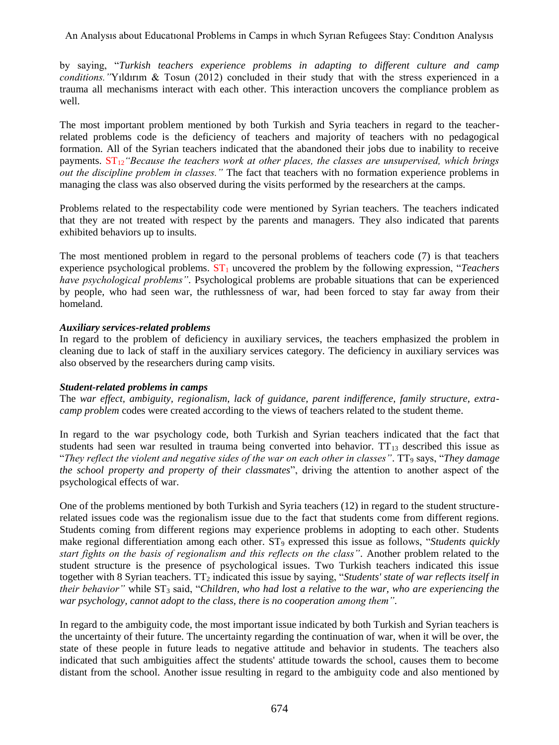An Analysıs about Educatıonal Problems in Camps in whıch Syrıan Refugees Stay: Condıtıon Analysıs

by saying, "*Turkish teachers experience problems in adapting to different culture and camp conditions."*Yıldırım & Tosun (2012) concluded in their study that with the stress experienced in a trauma all mechanisms interact with each other. This interaction uncovers the compliance problem as well.

The most important problem mentioned by both Turkish and Syria teachers in regard to the teacherrelated problems code is the deficiency of teachers and majority of teachers with no pedagogical formation. All of the Syrian teachers indicated that the abandoned their jobs due to inability to receive payments.  $ST_{12}$  *"Because the teachers work at other places, the classes are unsupervised, which brings out the discipline problem in classes."* The fact that teachers with no formation experience problems in managing the class was also observed during the visits performed by the researchers at the camps.

Problems related to the respectability code were mentioned by Syrian teachers. The teachers indicated that they are not treated with respect by the parents and managers. They also indicated that parents exhibited behaviors up to insults.

The most mentioned problem in regard to the personal problems of teachers code (7) is that teachers experience psychological problems.  $ST_1$  uncovered the problem by the following expression, "*Teachers have psychological problems"*. Psychological problems are probable situations that can be experienced by people, who had seen war, the ruthlessness of war, had been forced to stay far away from their homeland.

#### *Auxiliary services-related problems*

In regard to the problem of deficiency in auxiliary services, the teachers emphasized the problem in cleaning due to lack of staff in the auxiliary services category. The deficiency in auxiliary services was also observed by the researchers during camp visits.

#### *Student-related problems in camps*

The *war effect, ambiguity, regionalism, lack of guidance, parent indifference, family structure, extracamp problem* codes were created according to the views of teachers related to the student theme.

In regard to the war psychology code, both Turkish and Syrian teachers indicated that the fact that students had seen war resulted in trauma being converted into behavior.  $TT_{13}$  described this issue as "*They reflect the violent and negative sides of the war on each other in classes"*. TT<sup>9</sup> says, "*They damage the school property and property of their classmates*", driving the attention to another aspect of the psychological effects of war.

One of the problems mentioned by both Turkish and Syria teachers (12) in regard to the student structurerelated issues code was the regionalism issue due to the fact that students come from different regions. Students coming from different regions may experience problems in adopting to each other. Students make regional differentiation among each other. ST<sub>9</sub> expressed this issue as follows, "*Students quickly start fights on the basis of regionalism and this reflects on the class"*. Another problem related to the student structure is the presence of psychological issues. Two Turkish teachers indicated this issue together with 8 Syrian teachers. TT<sup>2</sup> indicated this issue by saying, "*Students' state of war reflects itself in their behavior"* while ST<sup>3</sup> said, "*Children, who had lost a relative to the war, who are experiencing the war psychology, cannot adopt to the class, there is no cooperation among them"*.

In regard to the ambiguity code, the most important issue indicated by both Turkish and Syrian teachers is the uncertainty of their future. The uncertainty regarding the continuation of war, when it will be over, the state of these people in future leads to negative attitude and behavior in students. The teachers also indicated that such ambiguities affect the students' attitude towards the school, causes them to become distant from the school. Another issue resulting in regard to the ambiguity code and also mentioned by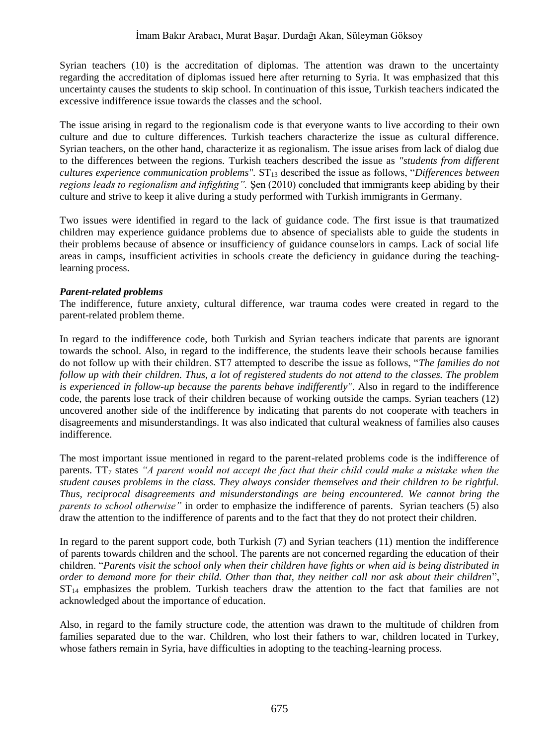Syrian teachers (10) is the accreditation of diplomas. The attention was drawn to the uncertainty regarding the accreditation of diplomas issued here after returning to Syria. It was emphasized that this uncertainty causes the students to skip school. In continuation of this issue, Turkish teachers indicated the excessive indifference issue towards the classes and the school.

The issue arising in regard to the regionalism code is that everyone wants to live according to their own culture and due to culture differences. Turkish teachers characterize the issue as cultural difference. Syrian teachers, on the other hand, characterize it as regionalism. The issue arises from lack of dialog due to the differences between the regions. Turkish teachers described the issue as *"students from different cultures experience communication problems".*  $ST_{13}$  described the issue as follows, "Differences between *regions leads to regionalism and infighting".* Şen (2010) concluded that immigrants keep abiding by their culture and strive to keep it alive during a study performed with Turkish immigrants in Germany.

Two issues were identified in regard to the lack of guidance code. The first issue is that traumatized children may experience guidance problems due to absence of specialists able to guide the students in their problems because of absence or insufficiency of guidance counselors in camps. Lack of social life areas in camps, insufficient activities in schools create the deficiency in guidance during the teachinglearning process.

#### *Parent-related problems*

The indifference, future anxiety, cultural difference, war trauma codes were created in regard to the parent-related problem theme.

In regard to the indifference code, both Turkish and Syrian teachers indicate that parents are ignorant towards the school. Also, in regard to the indifference, the students leave their schools because families do not follow up with their children. ST7 attempted to describe the issue as follows, "*The families do not follow up with their children. Thus, a lot of registered students do not attend to the classes. The problem is experienced in follow-up because the parents behave indifferently"*. Also in regard to the indifference code, the parents lose track of their children because of working outside the camps. Syrian teachers (12) uncovered another side of the indifference by indicating that parents do not cooperate with teachers in disagreements and misunderstandings. It was also indicated that cultural weakness of families also causes indifference.

The most important issue mentioned in regard to the parent-related problems code is the indifference of parents.  $TT<sub>7</sub>$  states "A parent would not accept the fact that their child could make a mistake when the *student causes problems in the class. They always consider themselves and their children to be rightful. Thus, reciprocal disagreements and misunderstandings are being encountered. We cannot bring the parents to school otherwise"* in order to emphasize the indifference of parents. Syrian teachers (5) also draw the attention to the indifference of parents and to the fact that they do not protect their children.

In regard to the parent support code, both Turkish (7) and Syrian teachers (11) mention the indifference of parents towards children and the school. The parents are not concerned regarding the education of their children. "*Parents visit the school only when their children have fights or when aid is being distributed in order to demand more for their child. Other than that, they neither call nor ask about their children*",  $ST_{14}$  emphasizes the problem. Turkish teachers draw the attention to the fact that families are not acknowledged about the importance of education.

Also, in regard to the family structure code, the attention was drawn to the multitude of children from families separated due to the war. Children, who lost their fathers to war, children located in Turkey, whose fathers remain in Syria, have difficulties in adopting to the teaching-learning process.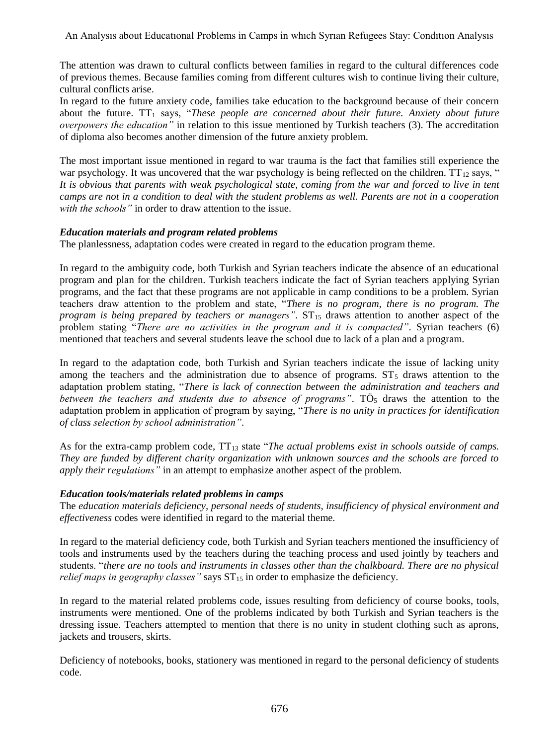The attention was drawn to cultural conflicts between families in regard to the cultural differences code of previous themes. Because families coming from different cultures wish to continue living their culture, cultural conflicts arise.

In regard to the future anxiety code, families take education to the background because of their concern about the future. TT<sub>1</sub> says, "These people are concerned about their future. Anxiety about future *overpowers the education"* in relation to this issue mentioned by Turkish teachers (3). The accreditation of diploma also becomes another dimension of the future anxiety problem.

The most important issue mentioned in regard to war trauma is the fact that families still experience the war psychology. It was uncovered that the war psychology is being reflected on the children.  $TT_{12}$  says, " *It is obvious that parents with weak psychological state, coming from the war and forced to live in tent camps are not in a condition to deal with the student problems as well. Parents are not in a cooperation with the schools"* in order to draw attention to the issue.

#### *Education materials and program related problems*

The planlessness, adaptation codes were created in regard to the education program theme.

In regard to the ambiguity code, both Turkish and Syrian teachers indicate the absence of an educational program and plan for the children. Turkish teachers indicate the fact of Syrian teachers applying Syrian programs, and the fact that these programs are not applicable in camp conditions to be a problem. Syrian teachers draw attention to the problem and state, "*There is no program, there is no program. The program is being prepared by teachers or managers"*.  $ST_{15}$  draws attention to another aspect of the problem stating "*There are no activities in the program and it is compacted"*. Syrian teachers (6) mentioned that teachers and several students leave the school due to lack of a plan and a program.

In regard to the adaptation code, both Turkish and Syrian teachers indicate the issue of lacking unity among the teachers and the administration due to absence of programs.  $ST<sub>5</sub>$  draws attention to the adaptation problem stating, "*There is lack of connection between the administration and teachers and between the teachers and students due to absence of programs".* TO<sub>5</sub> draws the attention to the adaptation problem in application of program by saying, "*There is no unity in practices for identification of class selection by school administration"*.

As for the extra-camp problem code, TT<sub>13</sub> state "*The actual problems exist in schools outside of camps*. *They are funded by different charity organization with unknown sources and the schools are forced to apply their regulations"* in an attempt to emphasize another aspect of the problem.

#### *Education tools/materials related problems in camps*

The *education materials deficiency, personal needs of students, insufficiency of physical environment and effectiveness* codes were identified in regard to the material theme.

In regard to the material deficiency code, both Turkish and Syrian teachers mentioned the insufficiency of tools and instruments used by the teachers during the teaching process and used jointly by teachers and students. "*there are no tools and instruments in classes other than the chalkboard. There are no physical relief maps in geography classes*" says  $ST_{15}$  in order to emphasize the deficiency.

In regard to the material related problems code, issues resulting from deficiency of course books, tools, instruments were mentioned. One of the problems indicated by both Turkish and Syrian teachers is the dressing issue. Teachers attempted to mention that there is no unity in student clothing such as aprons, jackets and trousers, skirts.

Deficiency of notebooks, books, stationery was mentioned in regard to the personal deficiency of students code.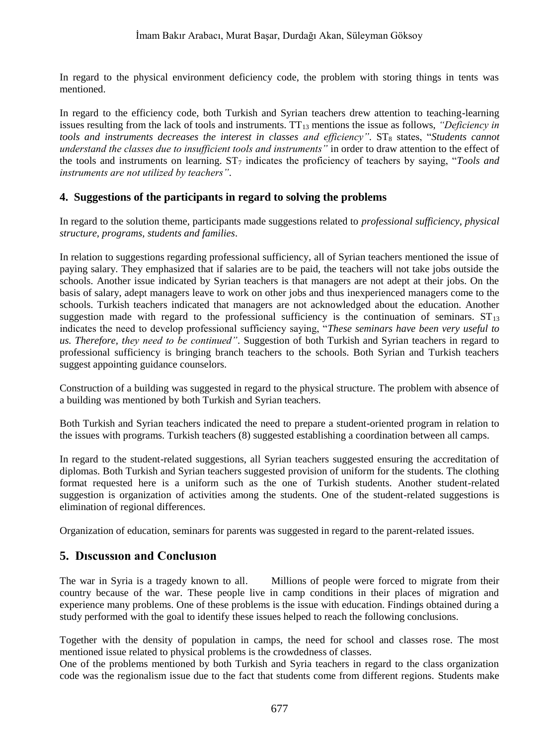In regard to the physical environment deficiency code, the problem with storing things in tents was mentioned.

In regard to the efficiency code, both Turkish and Syrian teachers drew attention to teaching-learning issues resulting from the lack of tools and instruments.  $TT_{13}$  mentions the issue as follows, *"Deficiency in tools and instruments decreases the interest in classes and efficiency".* ST<sub>8</sub> states, "*Students cannot understand the classes due to insufficient tools and instruments"* in order to draw attention to the effect of the tools and instruments on learning. ST<sup>7</sup> indicates the proficiency of teachers by saying, "*Tools and instruments are not utilized by teachers"*.

### **4. Suggestions of the participants in regard to solving the problems**

In regard to the solution theme, participants made suggestions related to *professional sufficiency, physical structure, programs, students and families*.

In relation to suggestions regarding professional sufficiency, all of Syrian teachers mentioned the issue of paying salary. They emphasized that if salaries are to be paid, the teachers will not take jobs outside the schools. Another issue indicated by Syrian teachers is that managers are not adept at their jobs. On the basis of salary, adept managers leave to work on other jobs and thus inexperienced managers come to the schools. Turkish teachers indicated that managers are not acknowledged about the education. Another suggestion made with regard to the professional sufficiency is the continuation of seminars.  $ST_{13}$ indicates the need to develop professional sufficiency saying, "*These seminars have been very useful to us. Therefore, they need to be continued"*. Suggestion of both Turkish and Syrian teachers in regard to professional sufficiency is bringing branch teachers to the schools. Both Syrian and Turkish teachers suggest appointing guidance counselors.

Construction of a building was suggested in regard to the physical structure. The problem with absence of a building was mentioned by both Turkish and Syrian teachers.

Both Turkish and Syrian teachers indicated the need to prepare a student-oriented program in relation to the issues with programs. Turkish teachers (8) suggested establishing a coordination between all camps.

In regard to the student-related suggestions, all Syrian teachers suggested ensuring the accreditation of diplomas. Both Turkish and Syrian teachers suggested provision of uniform for the students. The clothing format requested here is a uniform such as the one of Turkish students. Another student-related suggestion is organization of activities among the students. One of the student-related suggestions is elimination of regional differences.

Organization of education, seminars for parents was suggested in regard to the parent-related issues.

# **5. Dıscussıon and Conclusıon**

The war in Syria is a tragedy known to all. Millions of people were forced to migrate from their country because of the war. These people live in camp conditions in their places of migration and experience many problems. One of these problems is the issue with education. Findings obtained during a study performed with the goal to identify these issues helped to reach the following conclusions.

Together with the density of population in camps, the need for school and classes rose. The most mentioned issue related to physical problems is the crowdedness of classes.

One of the problems mentioned by both Turkish and Syria teachers in regard to the class organization code was the regionalism issue due to the fact that students come from different regions. Students make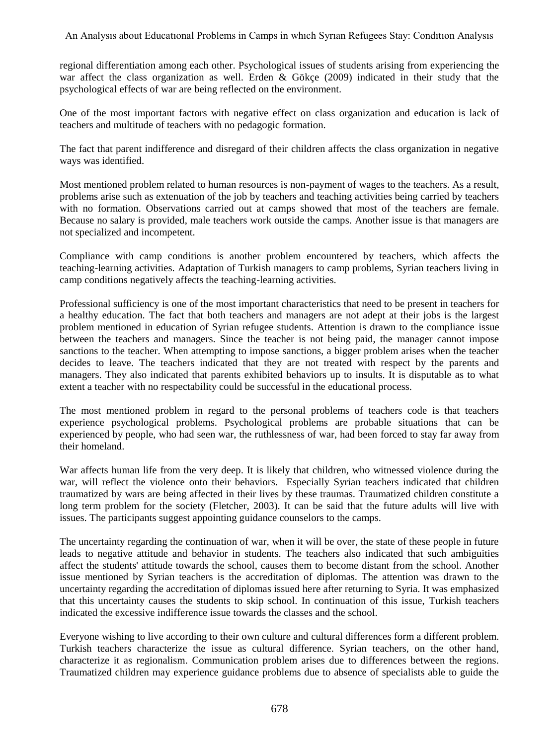regional differentiation among each other. Psychological issues of students arising from experiencing the war affect the class organization as well. Erden & Gökçe (2009) indicated in their study that the psychological effects of war are being reflected on the environment.

One of the most important factors with negative effect on class organization and education is lack of teachers and multitude of teachers with no pedagogic formation.

The fact that parent indifference and disregard of their children affects the class organization in negative ways was identified.

Most mentioned problem related to human resources is non-payment of wages to the teachers. As a result, problems arise such as extenuation of the job by teachers and teaching activities being carried by teachers with no formation. Observations carried out at camps showed that most of the teachers are female. Because no salary is provided, male teachers work outside the camps. Another issue is that managers are not specialized and incompetent.

Compliance with camp conditions is another problem encountered by teachers, which affects the teaching-learning activities. Adaptation of Turkish managers to camp problems, Syrian teachers living in camp conditions negatively affects the teaching-learning activities.

Professional sufficiency is one of the most important characteristics that need to be present in teachers for a healthy education. The fact that both teachers and managers are not adept at their jobs is the largest problem mentioned in education of Syrian refugee students. Attention is drawn to the compliance issue between the teachers and managers. Since the teacher is not being paid, the manager cannot impose sanctions to the teacher. When attempting to impose sanctions, a bigger problem arises when the teacher decides to leave. The teachers indicated that they are not treated with respect by the parents and managers. They also indicated that parents exhibited behaviors up to insults. It is disputable as to what extent a teacher with no respectability could be successful in the educational process.

The most mentioned problem in regard to the personal problems of teachers code is that teachers experience psychological problems. Psychological problems are probable situations that can be experienced by people, who had seen war, the ruthlessness of war, had been forced to stay far away from their homeland.

War affects human life from the very deep. It is likely that children, who witnessed violence during the war, will reflect the violence onto their behaviors. Especially Syrian teachers indicated that children traumatized by wars are being affected in their lives by these traumas. Traumatized children constitute a long term problem for the society (Fletcher, 2003). It can be said that the future adults will live with issues. The participants suggest appointing guidance counselors to the camps.

The uncertainty regarding the continuation of war, when it will be over, the state of these people in future leads to negative attitude and behavior in students. The teachers also indicated that such ambiguities affect the students' attitude towards the school, causes them to become distant from the school. Another issue mentioned by Syrian teachers is the accreditation of diplomas. The attention was drawn to the uncertainty regarding the accreditation of diplomas issued here after returning to Syria. It was emphasized that this uncertainty causes the students to skip school. In continuation of this issue, Turkish teachers indicated the excessive indifference issue towards the classes and the school.

Everyone wishing to live according to their own culture and cultural differences form a different problem. Turkish teachers characterize the issue as cultural difference. Syrian teachers, on the other hand, characterize it as regionalism. Communication problem arises due to differences between the regions. Traumatized children may experience guidance problems due to absence of specialists able to guide the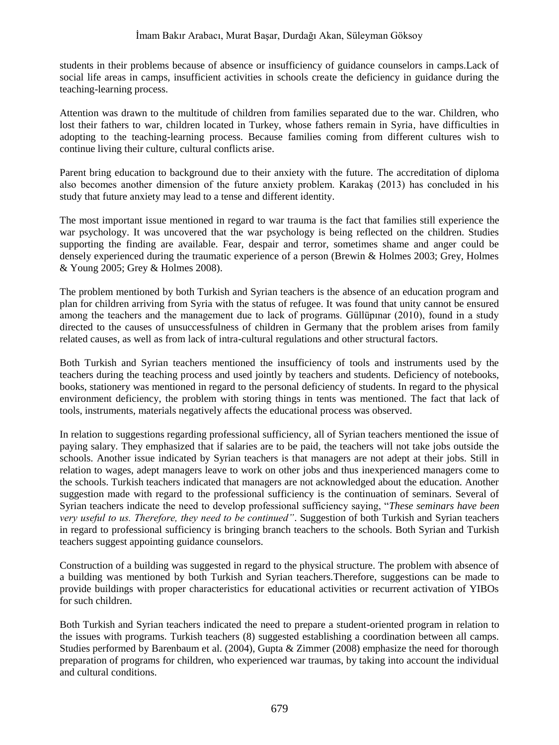students in their problems because of absence or insufficiency of guidance counselors in camps.Lack of social life areas in camps, insufficient activities in schools create the deficiency in guidance during the teaching-learning process.

Attention was drawn to the multitude of children from families separated due to the war. Children, who lost their fathers to war, children located in Turkey, whose fathers remain in Syria, have difficulties in adopting to the teaching-learning process. Because families coming from different cultures wish to continue living their culture, cultural conflicts arise.

Parent bring education to background due to their anxiety with the future. The accreditation of diploma also becomes another dimension of the future anxiety problem. Karakaş (2013) has concluded in his study that future anxiety may lead to a tense and different identity.

The most important issue mentioned in regard to war trauma is the fact that families still experience the war psychology. It was uncovered that the war psychology is being reflected on the children. Studies supporting the finding are available. Fear, despair and terror, sometimes shame and anger could be densely experienced during the traumatic experience of a person (Brewin & Holmes 2003; Grey, Holmes & Young 2005; Grey & Holmes 2008).

The problem mentioned by both Turkish and Syrian teachers is the absence of an education program and plan for children arriving from Syria with the status of refugee. It was found that unity cannot be ensured among the teachers and the management due to lack of programs. Güllüpınar (2010), found in a study directed to the causes of unsuccessfulness of children in Germany that the problem arises from family related causes, as well as from lack of intra-cultural regulations and other structural factors.

Both Turkish and Syrian teachers mentioned the insufficiency of tools and instruments used by the teachers during the teaching process and used jointly by teachers and students. Deficiency of notebooks, books, stationery was mentioned in regard to the personal deficiency of students. In regard to the physical environment deficiency, the problem with storing things in tents was mentioned. The fact that lack of tools, instruments, materials negatively affects the educational process was observed.

In relation to suggestions regarding professional sufficiency, all of Syrian teachers mentioned the issue of paying salary. They emphasized that if salaries are to be paid, the teachers will not take jobs outside the schools. Another issue indicated by Syrian teachers is that managers are not adept at their jobs. Still in relation to wages, adept managers leave to work on other jobs and thus inexperienced managers come to the schools. Turkish teachers indicated that managers are not acknowledged about the education. Another suggestion made with regard to the professional sufficiency is the continuation of seminars. Several of Syrian teachers indicate the need to develop professional sufficiency saying, "*These seminars have been very useful to us. Therefore, they need to be continued"*. Suggestion of both Turkish and Syrian teachers in regard to professional sufficiency is bringing branch teachers to the schools. Both Syrian and Turkish teachers suggest appointing guidance counselors.

Construction of a building was suggested in regard to the physical structure. The problem with absence of a building was mentioned by both Turkish and Syrian teachers.Therefore, suggestions can be made to provide buildings with proper characteristics for educational activities or recurrent activation of YIBOs for such children.

Both Turkish and Syrian teachers indicated the need to prepare a student-oriented program in relation to the issues with programs. Turkish teachers (8) suggested establishing a coordination between all camps. Studies performed by Barenbaum et al. (2004), Gupta & Zimmer (2008) emphasize the need for thorough preparation of programs for children, who experienced war traumas, by taking into account the individual and cultural conditions.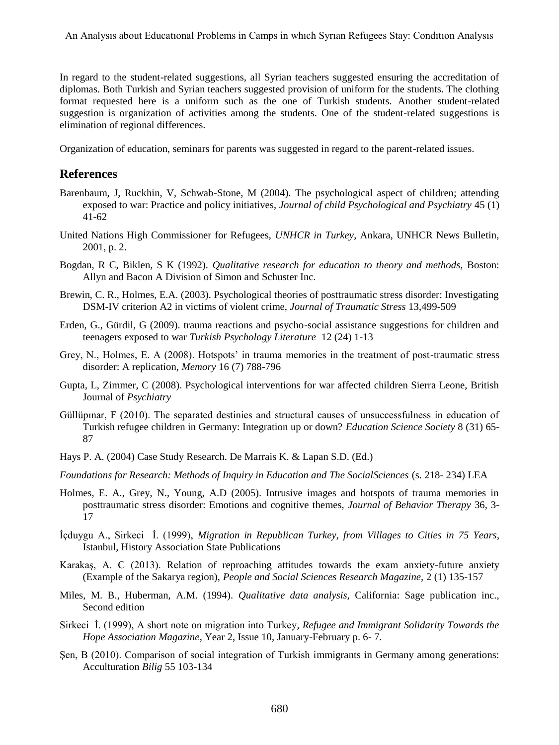In regard to the student-related suggestions, all Syrian teachers suggested ensuring the accreditation of diplomas. Both Turkish and Syrian teachers suggested provision of uniform for the students. The clothing format requested here is a uniform such as the one of Turkish students. Another student-related suggestion is organization of activities among the students. One of the student-related suggestions is elimination of regional differences.

Organization of education, seminars for parents was suggested in regard to the parent-related issues.

### **References**

- Barenbaum, J, Ruckhin, V, Schwab-Stone, M (2004). The psychological aspect of children; attending exposed to war: Practice and policy initiatives, *Journal of child Psychological and Psychiatry* 45 (1) 41-62
- United Nations High Commissioner for Refugees, *UNHCR in Turkey*, Ankara, UNHCR News Bulletin, 2001, p. 2.
- Bogdan, R C, Biklen, S K (1992). *Qualitative research for education to theory and methods,* Boston: Allyn and Bacon A Division of Simon and Schuster Inc.
- Brewin, C. R., Holmes, E.A. (2003). Psychological theories of posttraumatic stress disorder: Investigating DSM-IV criterion A2 in victims of violent crime, *Journal of Traumatic Stress* 13,499-509
- Erden, G., Gürdil, G (2009). trauma reactions and psycho-social assistance suggestions for children and teenagers exposed to war *Turkish Psychology Literature* 12 (24) 1-13
- Grey, N., Holmes, E. A (2008). Hotspots' in trauma memories in the treatment of post-traumatic stress disorder: A replication, *Memory* 16 (7) 788-796
- Gupta, L, Zimmer, C (2008). Psychological interventions for war affected children Sierra Leone, British Journal of *Psychiatry*
- Güllüpınar, F (2010). The separated destinies and structural causes of unsuccessfulness in education of Turkish refugee children in Germany: Integration up or down? *Education Science Society* 8 (31) 65- 87
- Hays P. A. (2004) Case Study Research. De Marrais K. & Lapan S.D. (Ed.)

*Foundations for Research: Methods of Inquiry in Education and The SocialSciences* (s. 218- 234) LEA

- Holmes, E. A., Grey, N., Young, A.D (2005). Intrusive images and hotspots of trauma memories in posttraumatic stress disorder: Emotions and cognitive themes, *Journal of Behavior Therapy* 36, 3- 17
- İçduygu A., Sirkeci İ. (1999), *Migration in Republican Turkey, from Villages to Cities in 75 Years*, Istanbul, History Association State Publications
- Karakaş, A. C (2013). Relation of reproaching attitudes towards the exam anxiety-future anxiety (Example of the Sakarya region), *People and Social Sciences Research Magazine,* 2 (1) 135-157
- Miles, M. B., Huberman, A.M. (1994). *Qualitative data analysis,* California: Sage publication inc., Second edition
- Sirkeci İ. (1999), A short note on migration into Turkey*, Refugee and Immigrant Solidarity Towards the Hope Association Magazine*, Year 2, Issue 10, January-February p. 6- 7.
- Şen, B (2010). Comparison of social integration of Turkish immigrants in Germany among generations: Acculturation *Bilig* 55 103-134